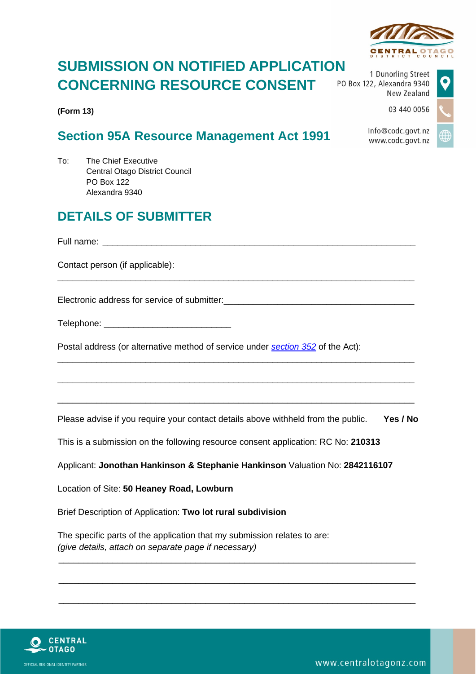# **SUBMISSION ON NOTIFIED APPLICATION CONCERNING RESOURCE CONSENT**

**(Form 13)**

### **Section 95A Resource Management Act 1991**

To: The Chief Executive Central Otago District Council PO Box 122 Alexandra 9340

## **DETAILS OF SUBMITTER**

Full name:

Contact person (if applicable):

Electronic address for service of submitter: \_\_\_\_\_\_\_\_\_\_\_\_\_\_\_\_\_\_\_\_\_\_\_\_\_\_\_\_\_\_\_\_\_\_\_

| Telephone: |  |  |
|------------|--|--|
|------------|--|--|

Postal address (or alternative method of service under *section 352* of the Act):

Please advise if you require your contact details above withheld from the public. **Yes / No**

\_\_\_\_\_\_\_\_\_\_\_\_\_\_\_\_\_\_\_\_\_\_\_\_\_\_\_\_\_\_\_\_\_\_\_\_\_\_\_\_\_\_\_\_\_\_\_\_\_\_\_\_\_\_\_\_\_\_\_\_\_\_\_\_\_\_\_\_\_\_\_\_\_

\_\_\_\_\_\_\_\_\_\_\_\_\_\_\_\_\_\_\_\_\_\_\_\_\_\_\_\_\_\_\_\_\_\_\_\_\_\_\_\_\_\_\_\_\_\_\_\_\_\_\_\_\_\_\_\_\_\_\_\_\_\_\_\_\_\_\_\_\_\_\_\_\_

\_\_\_\_\_\_\_\_\_\_\_\_\_\_\_\_\_\_\_\_\_\_\_\_\_\_\_\_\_\_\_\_\_\_\_\_\_\_\_\_\_\_\_\_\_\_\_\_\_\_\_\_\_\_\_\_\_\_\_\_\_\_\_\_\_\_\_\_\_\_\_\_\_

\_\_\_\_\_\_\_\_\_\_\_\_\_\_\_\_\_\_\_\_\_\_\_\_\_\_\_\_\_\_\_\_\_\_\_\_\_\_\_\_\_\_\_\_\_\_\_\_\_\_\_\_\_\_\_\_\_\_\_\_\_\_\_\_\_\_\_\_\_\_\_\_\_

\_\_\_\_\_\_\_\_\_\_\_\_\_\_\_\_\_\_\_\_\_\_\_\_\_\_\_\_\_\_\_\_\_\_\_\_\_\_\_\_\_\_\_\_\_\_\_\_\_\_\_\_\_\_\_\_\_\_\_\_\_\_\_\_\_\_\_\_\_\_\_\_\_

\_\_\_\_\_\_\_\_\_\_\_\_\_\_\_\_\_\_\_\_\_\_\_\_\_\_\_\_\_\_\_\_\_\_\_\_\_\_\_\_\_\_\_\_\_\_\_\_\_\_\_\_\_\_\_\_\_\_\_\_\_\_\_\_\_\_\_\_\_\_\_\_\_

\_\_\_\_\_\_\_\_\_\_\_\_\_\_\_\_\_\_\_\_\_\_\_\_\_\_\_\_\_\_\_\_\_\_\_\_\_\_\_\_\_\_\_\_\_\_\_\_\_\_\_\_\_\_\_\_\_\_\_\_\_\_\_\_\_\_\_\_\_\_\_\_\_

This is a submission on the following resource consent application: RC No: **210313**

Applicant: **Jonothan Hankinson & Stephanie Hankinson** Valuation No: **2842116107**

Location of Site: **50 Heaney Road, Lowburn**

Brief Description of Application: **Two lot rural subdivision**

The specific parts of the application that my submission relates to are: *(give details, attach on separate page if necessary)*





1 Dunorling Street PO Box 122, Alexandra 9340 New Zealand

03 440 0056

Info@codc.govt.nz www.codc.govt.nz

www.centralotagonz.com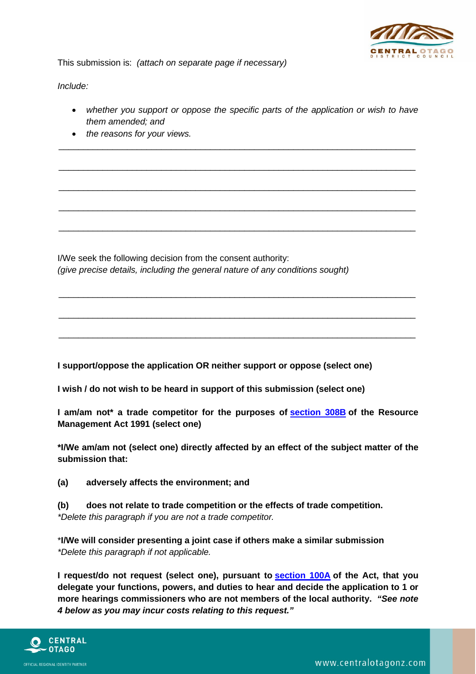

This submission is: *(attach on separate page if necessary)*

*Include:*

• *whether you support or oppose the specific parts of the application or wish to have them amended; and*

\_\_\_\_\_\_\_\_\_\_\_\_\_\_\_\_\_\_\_\_\_\_\_\_\_\_\_\_\_\_\_\_\_\_\_\_\_\_\_\_\_\_\_\_\_\_\_\_\_\_\_\_\_\_\_\_\_\_\_\_\_\_\_\_\_\_\_\_\_\_\_\_\_

\_\_\_\_\_\_\_\_\_\_\_\_\_\_\_\_\_\_\_\_\_\_\_\_\_\_\_\_\_\_\_\_\_\_\_\_\_\_\_\_\_\_\_\_\_\_\_\_\_\_\_\_\_\_\_\_\_\_\_\_\_\_\_\_\_\_\_\_\_\_\_\_\_

\_\_\_\_\_\_\_\_\_\_\_\_\_\_\_\_\_\_\_\_\_\_\_\_\_\_\_\_\_\_\_\_\_\_\_\_\_\_\_\_\_\_\_\_\_\_\_\_\_\_\_\_\_\_\_\_\_\_\_\_\_\_\_\_\_\_\_\_\_\_\_\_\_

\_\_\_\_\_\_\_\_\_\_\_\_\_\_\_\_\_\_\_\_\_\_\_\_\_\_\_\_\_\_\_\_\_\_\_\_\_\_\_\_\_\_\_\_\_\_\_\_\_\_\_\_\_\_\_\_\_\_\_\_\_\_\_\_\_\_\_\_\_\_\_\_\_

\_\_\_\_\_\_\_\_\_\_\_\_\_\_\_\_\_\_\_\_\_\_\_\_\_\_\_\_\_\_\_\_\_\_\_\_\_\_\_\_\_\_\_\_\_\_\_\_\_\_\_\_\_\_\_\_\_\_\_\_\_\_\_\_\_\_\_\_\_\_\_\_\_

\_\_\_\_\_\_\_\_\_\_\_\_\_\_\_\_\_\_\_\_\_\_\_\_\_\_\_\_\_\_\_\_\_\_\_\_\_\_\_\_\_\_\_\_\_\_\_\_\_\_\_\_\_\_\_\_\_\_\_\_\_\_\_\_\_\_\_\_\_\_\_\_\_

\_\_\_\_\_\_\_\_\_\_\_\_\_\_\_\_\_\_\_\_\_\_\_\_\_\_\_\_\_\_\_\_\_\_\_\_\_\_\_\_\_\_\_\_\_\_\_\_\_\_\_\_\_\_\_\_\_\_\_\_\_\_\_\_\_\_\_\_\_\_\_\_\_

\_\_\_\_\_\_\_\_\_\_\_\_\_\_\_\_\_\_\_\_\_\_\_\_\_\_\_\_\_\_\_\_\_\_\_\_\_\_\_\_\_\_\_\_\_\_\_\_\_\_\_\_\_\_\_\_\_\_\_\_\_\_\_\_\_\_\_\_\_\_\_\_\_

• *the reasons for your views.*

I/We seek the following decision from the consent authority: *(give precise details, including the general nature of any conditions sought)*

**I support/oppose the application OR neither support or oppose (select one)**

**I wish / do not wish to be heard in support of this submission (select one)**

**I am/am not\* a trade competitor for the purposes of [section](http://www.legislation.govt.nz/regulation/public/2003/0153/latest/link.aspx?id=DLM2421549#DLM2421549) 308B of the Resource Management Act 1991 (select one)**

**\*I/We am/am not (select one) directly affected by an effect of the subject matter of the submission that:**

**(a) adversely affects the environment; and**

**(b) does not relate to trade competition or the effects of trade competition.** *\*Delete this paragraph if you are not a trade competitor.*

\***I/We will consider presenting a joint case if others make a similar submission** *\*Delete this paragraph if not applicable.*

**I request/do not request (select one), pursuant to [section](http://www.legislation.govt.nz/regulation/public/2003/0153/latest/link.aspx?id=DLM2416444#DLM2416444) 100A of the Act, that you delegate your functions, powers, and duties to hear and decide the application to 1 or more hearings commissioners who are not members of the local authority.** *"See note 4 below as you may incur costs relating to this request."*